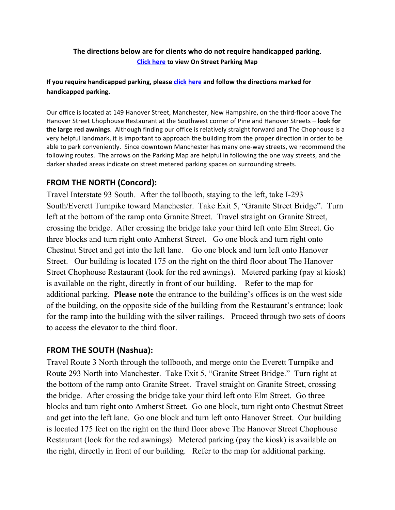#### The directions below are for clients who do not require handicapped parking. **Click here** to view On Street Parking Map

#### If you require handicapped parking, please **click here** and follow the directions marked for handicapped parking.

Our office is located at 149 Hanover Street, Manchester, New Hampshire, on the third-floor above The Hanover Street Chophouse Restaurant at the Southwest corner of Pine and Hanover Streets - look for **the large red awnings**. Although finding our office is relatively straight forward and The Chophouse is a very helpful landmark, it is important to approach the building from the proper direction in order to be able to park conveniently. Since downtown Manchester has many one-way streets, we recommend the following routes. The arrows on the Parking Map are helpful in following the one way streets, and the darker shaded areas indicate on street metered parking spaces on surrounding streets.

# **FROM THE NORTH (Concord):**

Travel Interstate 93 South. After the tollbooth, staying to the left, take I-293 South/Everett Turnpike toward Manchester. Take Exit 5, "Granite Street Bridge". Turn left at the bottom of the ramp onto Granite Street. Travel straight on Granite Street, crossing the bridge. After crossing the bridge take your third left onto Elm Street. Go three blocks and turn right onto Amherst Street. Go one block and turn right onto Chestnut Street and get into the left lane. Go one block and turn left onto Hanover Street. Our building is located 175 on the right on the third floor about The Hanover Street Chophouse Restaurant (look for the red awnings). Metered parking (pay at kiosk) is available on the right, directly in front of our building. Refer to the map for additional parking. **Please note** the entrance to the building's offices is on the west side of the building, on the opposite side of the building from the Restaurant's entrance; look for the ramp into the building with the silver railings. Proceed through two sets of doors to access the elevator to the third floor.

## **FROM THE SOUTH (Nashua):**

Travel Route 3 North through the tollbooth, and merge onto the Everett Turnpike and Route 293 North into Manchester. Take Exit 5, "Granite Street Bridge." Turn right at the bottom of the ramp onto Granite Street. Travel straight on Granite Street, crossing the bridge. After crossing the bridge take your third left onto Elm Street. Go three blocks and turn right onto Amherst Street. Go one block, turn right onto Chestnut Street and get into the left lane. Go one block and turn left onto Hanover Street. Our building is located 175 feet on the right on the third floor above The Hanover Street Chophouse Restaurant (look for the red awnings). Metered parking (pay the kiosk) is available on the right, directly in front of our building. Refer to the map for additional parking.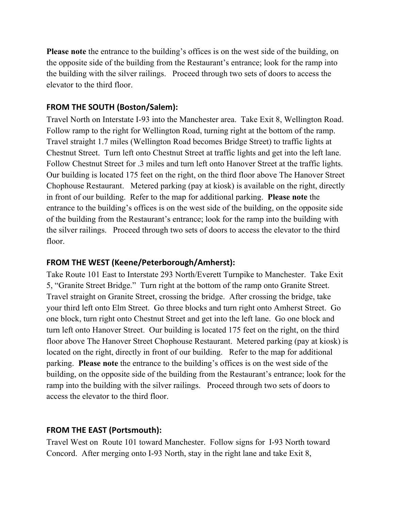**Please note** the entrance to the building's offices is on the west side of the building, on the opposite side of the building from the Restaurant's entrance; look for the ramp into the building with the silver railings. Proceed through two sets of doors to access the elevator to the third floor.

## **FROM THE SOUTH (Boston/Salem):**

Travel North on Interstate I-93 into the Manchester area. Take Exit 8, Wellington Road. Follow ramp to the right for Wellington Road, turning right at the bottom of the ramp. Travel straight 1.7 miles (Wellington Road becomes Bridge Street) to traffic lights at Chestnut Street. Turn left onto Chestnut Street at traffic lights and get into the left lane. Follow Chestnut Street for .3 miles and turn left onto Hanover Street at the traffic lights. Our building is located 175 feet on the right, on the third floor above The Hanover Street Chophouse Restaurant. Metered parking (pay at kiosk) is available on the right, directly in front of our building. Refer to the map for additional parking. **Please note** the entrance to the building's offices is on the west side of the building, on the opposite side of the building from the Restaurant's entrance; look for the ramp into the building with the silver railings. Proceed through two sets of doors to access the elevator to the third floor.

## **FROM THE WEST (Keene/Peterborough/Amherst):**

Take Route 101 East to Interstate 293 North/Everett Turnpike to Manchester. Take Exit 5, "Granite Street Bridge." Turn right at the bottom of the ramp onto Granite Street. Travel straight on Granite Street, crossing the bridge. After crossing the bridge, take your third left onto Elm Street. Go three blocks and turn right onto Amherst Street. Go one block, turn right onto Chestnut Street and get into the left lane. Go one block and turn left onto Hanover Street. Our building is located 175 feet on the right, on the third floor above The Hanover Street Chophouse Restaurant. Metered parking (pay at kiosk) is located on the right, directly in front of our building. Refer to the map for additional parking. **Please note** the entrance to the building's offices is on the west side of the building, on the opposite side of the building from the Restaurant's entrance; look for the ramp into the building with the silver railings. Proceed through two sets of doors to access the elevator to the third floor.

# **FROM THE EAST (Portsmouth):**

Travel West on Route 101 toward Manchester. Follow signs for I-93 North toward Concord. After merging onto I-93 North, stay in the right lane and take Exit 8,